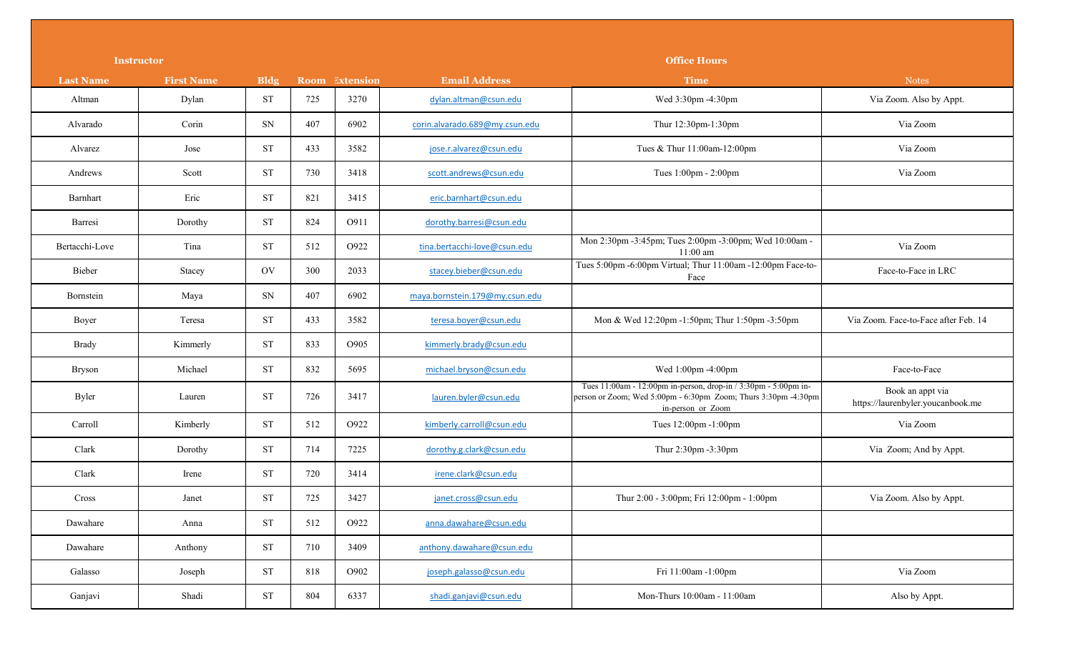|                  | <b>Instructor</b> |                     |     |                | <b>Office Hours</b>            |                                                                                                                                                        |                                                       |  |
|------------------|-------------------|---------------------|-----|----------------|--------------------------------|--------------------------------------------------------------------------------------------------------------------------------------------------------|-------------------------------------------------------|--|
| <b>Last Name</b> | <b>First Name</b> | <b>Bldg</b>         |     | Room Extension | <b>Email Address</b>           | <b>Time</b>                                                                                                                                            | <b>Notes</b>                                          |  |
| Altman           | Dylan             | <b>ST</b>           | 725 | 3270           | dylan.altman@csun.edu          | Wed 3:30pm -4:30pm                                                                                                                                     | Via Zoom. Also by Appt.                               |  |
| Alvarado         | Corin             | SN                  | 407 | 6902           | corin.alvarado.689@my.csun.edu | Thur 12:30pm-1:30pm                                                                                                                                    | Via Zoom                                              |  |
| Alvarez          | Jose              | <b>ST</b>           | 433 | 3582           | jose.r.alvarez@csun.edu        | Tues & Thur 11:00am-12:00pm                                                                                                                            | Via Zoom                                              |  |
| Andrews          | Scott             | <b>ST</b>           | 730 | 3418           | scott.andrews@csun.edu         | Tues 1:00pm - 2:00pm                                                                                                                                   | Via Zoom                                              |  |
| Barnhart         | Eric              | <b>ST</b>           | 821 | 3415           | eric.barnhart@csun.edu         |                                                                                                                                                        |                                                       |  |
| Barresi          | Dorothy           | <b>ST</b>           | 824 | O911           | dorothy.barresi@csun.edu       |                                                                                                                                                        |                                                       |  |
| Bertacchi-Love   | Tina              | <b>ST</b>           | 512 | O922           | tina.bertacchi-love@csun.edu   | Mon 2:30pm -3:45pm; Tues 2:00pm -3:00pm; Wed 10:00am -<br>$11:00$ am                                                                                   | Via Zoom                                              |  |
| Bieber           | Stacey            | OV                  | 300 | 2033           | stacey.bieber@csun.edu         | Tues 5:00pm -6:00pm Virtual; Thur 11:00am -12:00pm Face-to-<br>Face                                                                                    | Face-to-Face in LRC                                   |  |
| Bornstein        | Maya              | ${\rm SN}$          | 407 | 6902           | maya.bornstein.179@my.csun.edu |                                                                                                                                                        |                                                       |  |
| Boyer            | Teresa            | <b>ST</b>           | 433 | 3582           | teresa.boyer@csun.edu          | Mon & Wed 12:20pm -1:50pm; Thur 1:50pm -3:50pm                                                                                                         | Via Zoom. Face-to-Face after Feb. 14                  |  |
| <b>Brady</b>     | Kimmerly          | <b>ST</b>           | 833 | O905           | kimmerly.brady@csun.edu        |                                                                                                                                                        |                                                       |  |
| <b>Bryson</b>    | Michael           | <b>ST</b>           | 832 | 5695           | michael.bryson@csun.edu        | Wed 1:00pm -4:00pm                                                                                                                                     | Face-to-Face                                          |  |
| <b>Byler</b>     | Lauren            | <b>ST</b>           | 726 | 3417           | lauren.byler@csun.edu          | Tues 11:00am - 12:00pm in-person, drop-in / 3:30pm - 5:00pm in-<br>person or Zoom; Wed 5:00pm - 6:30pm Zoom; Thurs 3:30pm -4:30pm<br>in-person or Zoom | Book an appt via<br>https://laurenbyler.youcanbook.me |  |
| Carroll          | Kimberly          | <b>ST</b>           | 512 | O922           | kimberly.carroll@csun.edu      | Tues 12:00pm -1:00pm                                                                                                                                   | Via Zoom                                              |  |
| Clark            | Dorothy           | <b>ST</b>           | 714 | 7225           | dorothy.g.clark@csun.edu       | Thur 2:30pm -3:30pm                                                                                                                                    | Via Zoom; And by Appt.                                |  |
| Clark            | Irene             | <b>ST</b>           | 720 | 3414           | irene.clark@csun.edu           |                                                                                                                                                        |                                                       |  |
| Cross            | Janet             | <b>ST</b>           | 725 | 3427           | janet.cross@csun.edu           | Thur 2:00 - 3:00pm; Fri 12:00pm - 1:00pm                                                                                                               | Via Zoom. Also by Appt.                               |  |
| Dawahare         | Anna              | <b>ST</b>           | 512 | O922           | anna.dawahare@csun.edu         |                                                                                                                                                        |                                                       |  |
| Dawahare         | Anthony           | <b>ST</b>           | 710 | 3409           | anthony.dawahare@csun.edu      |                                                                                                                                                        |                                                       |  |
| Galasso          | Joseph            | $\operatorname{ST}$ | 818 | O902           | joseph.galasso@csun.edu        | Fri 11:00am -1:00pm                                                                                                                                    | Via Zoom                                              |  |
| Ganjavi          | Shadi             | $\operatorname{ST}$ | 804 | 6337           | shadi.ganjavi@csun.edu         | Mon-Thurs 10:00am - 11:00am                                                                                                                            | Also by Appt.                                         |  |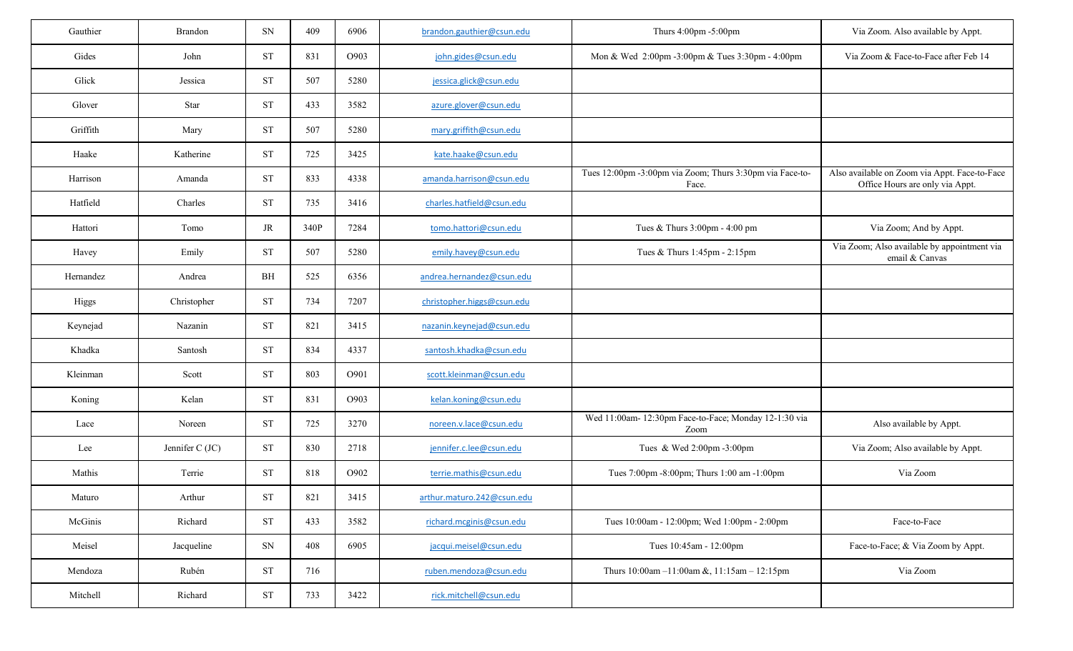| Gauthier     | Brandon         | SN        | 409  | 6906 | brandon.gauthier@csun.edu  | Thurs 4:00pm -5:00pm                                              | Via Zoom. Also available by Appt.                                                |
|--------------|-----------------|-----------|------|------|----------------------------|-------------------------------------------------------------------|----------------------------------------------------------------------------------|
| Gides        | John            | <b>ST</b> | 831  | O903 | john.gides@csun.edu        | Mon & Wed 2:00pm -3:00pm & Tues 3:30pm - 4:00pm                   | Via Zoom & Face-to-Face after Feb 14                                             |
| Glick        | Jessica         | <b>ST</b> | 507  | 5280 | jessica.glick@csun.edu     |                                                                   |                                                                                  |
| Glover       | Star            | <b>ST</b> | 433  | 3582 | azure.glover@csun.edu      |                                                                   |                                                                                  |
| Griffith     | Mary            | <b>ST</b> | 507  | 5280 | mary.griffith@csun.edu     |                                                                   |                                                                                  |
| Haake        | Katherine       | <b>ST</b> | 725  | 3425 | kate.haake@csun.edu        |                                                                   |                                                                                  |
| Harrison     | Amanda          | <b>ST</b> | 833  | 4338 | amanda.harrison@csun.edu   | Tues 12:00pm -3:00pm via Zoom; Thurs 3:30pm via Face-to-<br>Face. | Also available on Zoom via Appt. Face-to-Face<br>Office Hours are only via Appt. |
| Hatfield     | Charles         | <b>ST</b> | 735  | 3416 | charles.hatfield@csun.edu  |                                                                   |                                                                                  |
| Hattori      | Tomo            | $\rm JR$  | 340P | 7284 | tomo.hattori@csun.edu      | Tues & Thurs 3:00pm - 4:00 pm                                     | Via Zoom; And by Appt.                                                           |
| Havey        | Emily           | <b>ST</b> | 507  | 5280 | emily.havey@csun.edu       | Tues & Thurs 1:45pm - 2:15pm                                      | Via Zoom; Also available by appointment via<br>email & Canvas                    |
| Hernandez    | Andrea          | BH        | 525  | 6356 | andrea.hernandez@csun.edu  |                                                                   |                                                                                  |
| <b>Higgs</b> | Christopher     | <b>ST</b> | 734  | 7207 | christopher.higgs@csun.edu |                                                                   |                                                                                  |
| Keynejad     | Nazanin         | <b>ST</b> | 821  | 3415 | nazanin.keynejad@csun.edu  |                                                                   |                                                                                  |
| Khadka       | Santosh         | <b>ST</b> | 834  | 4337 | santosh.khadka@csun.edu    |                                                                   |                                                                                  |
| Kleinman     | Scott           | <b>ST</b> | 803  | O901 | scott.kleinman@csun.edu    |                                                                   |                                                                                  |
| Koning       | Kelan           | <b>ST</b> | 831  | O903 | kelan.koning@csun.edu      |                                                                   |                                                                                  |
| Lace         | Noreen          | <b>ST</b> | 725  | 3270 | noreen.v.lace@csun.edu     | Wed 11:00am- 12:30pm Face-to-Face; Monday 12-1:30 via<br>Zoom     | Also available by Appt.                                                          |
| Lee          | Jennifer C (JC) | <b>ST</b> | 830  | 2718 | jennifer.c.lee@csun.edu    | Tues & Wed 2:00pm -3:00pm                                         | Via Zoom; Also available by Appt.                                                |
| Mathis       | Terrie          | <b>ST</b> | 818  | O902 | terrie.mathis@csun.edu     | Tues 7:00pm -8:00pm; Thurs 1:00 am -1:00pm                        | Via Zoom                                                                         |
| Maturo       | Arthur          | <b>ST</b> | 821  | 3415 | arthur.maturo.242@csun.edu |                                                                   |                                                                                  |
| McGinis      | Richard         | <b>ST</b> | 433  | 3582 | richard.mcginis@csun.edu   | Tues 10:00am - 12:00pm; Wed 1:00pm - 2:00pm                       | Face-to-Face                                                                     |
| Meisel       | Jacqueline      | SN        | 408  | 6905 | jacqui.meisel@csun.edu     | Tues 10:45am - 12:00pm                                            | Face-to-Face; & Via Zoom by Appt.                                                |
| Mendoza      | Rubén           | <b>ST</b> | 716  |      | ruben.mendoza@csun.edu     | Thurs $10:00$ am $-11:00$ am &, $11:15$ am $-12:15$ pm            | Via Zoom                                                                         |
| Mitchell     | Richard         | <b>ST</b> | 733  | 3422 | rick.mitchell@csun.edu     |                                                                   |                                                                                  |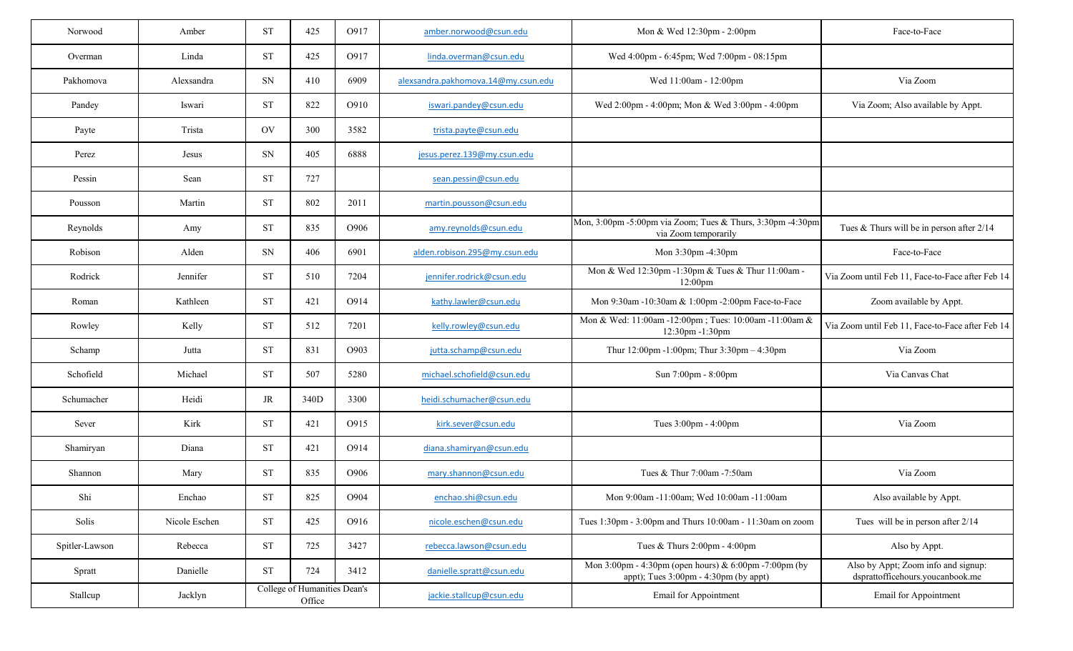| Norwood        | Amber         | <b>ST</b> | 425                                    | O917 | amber.norwood@csun.edu              | Mon & Wed 12:30pm - 2:00pm                                                                                                          | Face-to-Face                                                            |
|----------------|---------------|-----------|----------------------------------------|------|-------------------------------------|-------------------------------------------------------------------------------------------------------------------------------------|-------------------------------------------------------------------------|
| Overman        | Linda         | <b>ST</b> | 425                                    | O917 | linda.overman@csun.edu              | Wed 4:00pm - 6:45pm; Wed 7:00pm - 08:15pm                                                                                           |                                                                         |
| Pakhomova      | Alexsandra    | SN        | 410                                    | 6909 | alexsandra.pakhomova.14@my.csun.edu | Wed 11:00am - 12:00pm                                                                                                               | Via Zoom                                                                |
| Pandey         | Iswari        | <b>ST</b> | 822                                    | O910 | iswari.pandey@csun.edu              | Wed 2:00pm - 4:00pm; Mon & Wed 3:00pm - 4:00pm                                                                                      | Via Zoom; Also available by Appt.                                       |
| Payte          | Trista        | <b>OV</b> | 300                                    | 3582 | trista.payte@csun.edu               |                                                                                                                                     |                                                                         |
| Perez          | Jesus         | SN        | 405                                    | 6888 | jesus.perez.139@my.csun.edu         |                                                                                                                                     |                                                                         |
| Pessin         | Sean          | <b>ST</b> | 727                                    |      | sean.pessin@csun.edu                |                                                                                                                                     |                                                                         |
| Pousson        | Martin        | <b>ST</b> | 802                                    | 2011 | martin.pousson@csun.edu             |                                                                                                                                     |                                                                         |
| Reynolds       | Amy           | <b>ST</b> | 835                                    | O906 | amy.reynolds@csun.edu               | Mon, 3:00pm -5:00pm via Zoom; Tues & Thurs, 3:30pm -4:30pm<br>via Zoom temporarily                                                  | Tues & Thurs will be in person after $2/14$                             |
| Robison        | Alden         | SN        | 406                                    | 6901 | alden.robison.295@my.csun.edu       | Mon 3:30pm -4:30pm                                                                                                                  | Face-to-Face                                                            |
| Rodrick        | Jennifer      | <b>ST</b> | 510                                    | 7204 | jennifer.rodrick@csun.edu           | Mon & Wed 12:30pm -1:30pm & Tues & Thur 11:00am -<br>$12:00 \text{pm}$                                                              | Via Zoom until Feb 11, Face-to-Face after Feb 14                        |
| Roman          | Kathleen      | <b>ST</b> | 421                                    | O914 | kathy.lawler@csun.edu               | Mon 9:30am -10:30am & 1:00pm -2:00pm Face-to-Face                                                                                   | Zoom available by Appt.                                                 |
| Rowley         | Kelly         | <b>ST</b> | 512                                    | 7201 | kelly.rowley@csun.edu               | Mon & Wed: 11:00am -12:00pm; Tues: 10:00am -11:00am &<br>$12:30$ pm $-1:30$ pm                                                      | Via Zoom until Feb 11, Face-to-Face after Feb 14                        |
| Schamp         | Jutta         | <b>ST</b> | 831                                    | O903 | jutta.schamp@csun.edu               | Thur 12:00pm -1:00pm; Thur 3:30pm - 4:30pm                                                                                          | Via Zoom                                                                |
| Schofield      | Michael       | <b>ST</b> | 507                                    | 5280 | michael.schofield@csun.edu          | Sun 7:00pm - 8:00pm                                                                                                                 | Via Canvas Chat                                                         |
| Schumacher     | Heidi         | $\rm JR$  | 340D                                   | 3300 | heidi.schumacher@csun.edu           |                                                                                                                                     |                                                                         |
| Sever          | Kirk          | <b>ST</b> | 421                                    | O915 | kirk.sever@csun.edu                 | Tues 3:00pm - 4:00pm                                                                                                                | Via Zoom                                                                |
| Shamiryan      | Diana         | <b>ST</b> | 421                                    | O914 | diana.shamiryan@csun.edu            |                                                                                                                                     |                                                                         |
| Shannon        | Mary          | <b>ST</b> | 835                                    | O906 | mary.shannon@csun.edu               | Tues & Thur 7:00am -7:50am                                                                                                          | Via Zoom                                                                |
| Shi            | Enchao        | <b>ST</b> | 825                                    | O904 | enchao.shi@csun.edu                 | Mon 9:00am -11:00am; Wed 10:00am -11:00am                                                                                           | Also available by Appt.                                                 |
| Solis          | Nicole Eschen | <b>ST</b> | 425                                    | O916 | nicole.eschen@csun.edu              | Tues 1:30pm - 3:00pm and Thurs 10:00am - 11:30am on zoom                                                                            | Tues will be in person after 2/14                                       |
| Spitler-Lawson | Rebecca       | <b>ST</b> | 725                                    | 3427 | rebecca.lawson@csun.edu             | Tues & Thurs 2:00pm - 4:00pm                                                                                                        | Also by Appt.                                                           |
| Spratt         | Danielle      | <b>ST</b> | 724                                    | 3412 | danielle.spratt@csun.edu            | Mon $3:00 \text{pm} - 4:30 \text{pm}$ (open hours) & $6:00 \text{pm} - 7:00 \text{pm}$ (by<br>appt); Tues 3:00pm - 4:30pm (by appt) | Also by Appt; Zoom info and signup:<br>dsprattofficehours.youcanbook.me |
| Stallcup       | Jacklyn       |           | College of Humanities Dean's<br>Office |      | jackie.stallcup@csun.edu            | <b>Email for Appointment</b>                                                                                                        | <b>Email for Appointment</b>                                            |